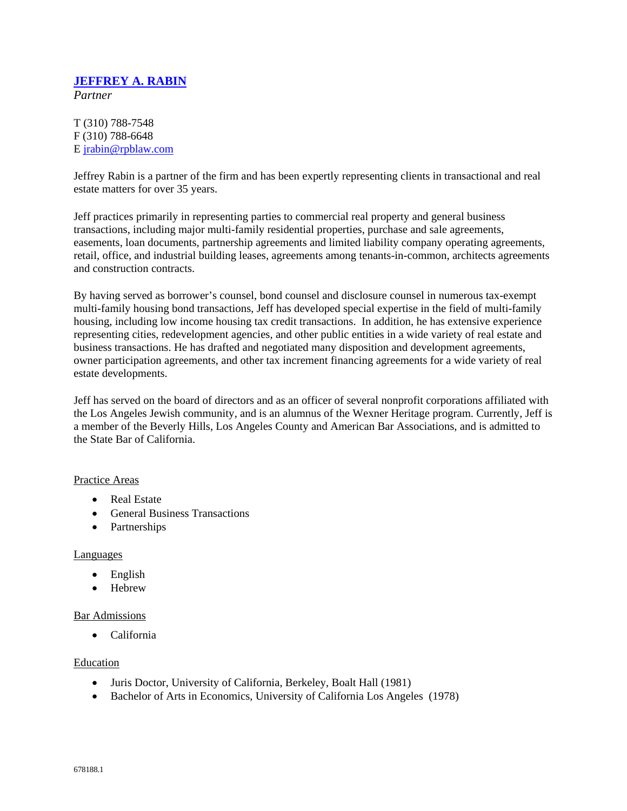# **JEFFREY A. RABIN**

*Partner*

T (310) 788-7548 F (310) 788-6648 E jrabin@rpblaw.com

Jeffrey Rabin is a partner of the firm and has been expertly representing clients in transactional and real estate matters for over 35 years.

Jeff practices primarily in representing parties to commercial real property and general business transactions, including major multi-family residential properties, purchase and sale agreements, easements, loan documents, partnership agreements and limited liability company operating agreements, retail, office, and industrial building leases, agreements among tenants-in-common, architects agreements and construction contracts.

By having served as borrower's counsel, bond counsel and disclosure counsel in numerous tax-exempt multi-family housing bond transactions, Jeff has developed special expertise in the field of multi-family housing, including low income housing tax credit transactions. In addition, he has extensive experience representing cities, redevelopment agencies, and other public entities in a wide variety of real estate and business transactions. He has drafted and negotiated many disposition and development agreements, owner participation agreements, and other tax increment financing agreements for a wide variety of real estate developments.

Jeff has served on the board of directors and as an officer of several nonprofit corporations affiliated with the Los Angeles Jewish community, and is an alumnus of the Wexner Heritage program. Currently, Jeff is a member of the Beverly Hills, Los Angeles County and American Bar Associations, and is admitted to the State Bar of California.

### Practice Areas

- Real Estate
- General Business Transactions
- Partnerships

### Languages

- English
- Hebrew

### Bar Admissions

• California

#### Education

- Juris Doctor, University of California, Berkeley, Boalt Hall (1981)
- Bachelor of Arts in Economics, University of California Los Angeles (1978)